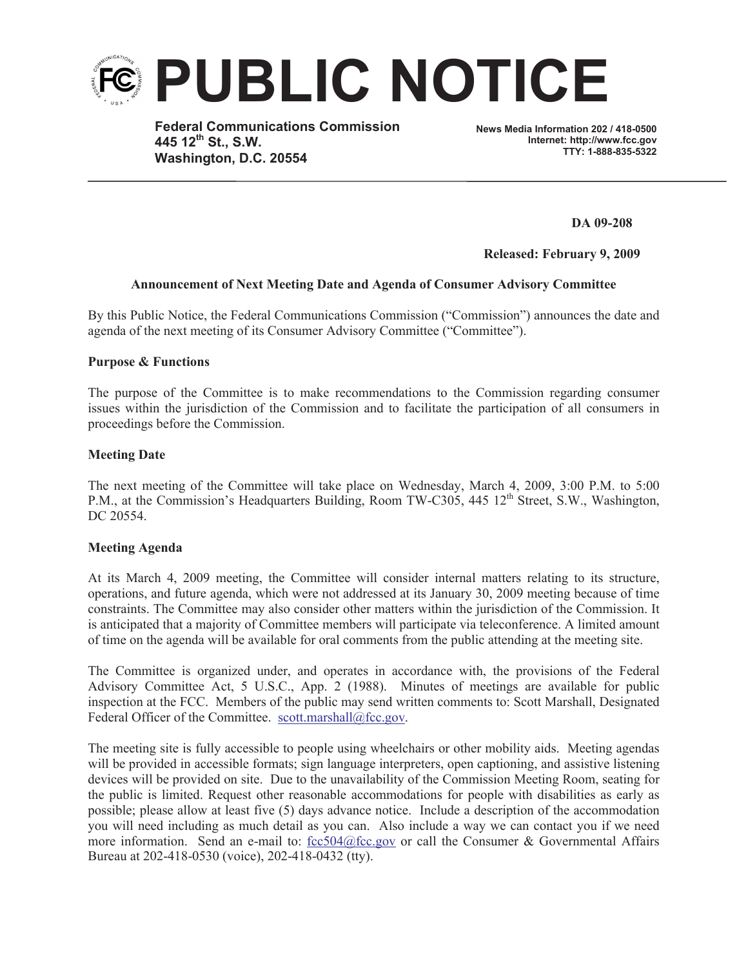

**Federal Communications Commission 445 12th St., S.W. Washington, D.C. 20554**

**News Media Information 202 / 418-0500 Internet: http://www.fcc.gov TTY: 1-888-835-5322**

**DA 09-208**

**Released: February 9, 2009**

## **Announcement of Next Meeting Date and Agenda of Consumer Advisory Committee**

By this Public Notice, the Federal Communications Commission ("Commission") announces the date and agenda of the next meeting of its Consumer Advisory Committee ("Committee").

## **Purpose & Functions**

The purpose of the Committee is to make recommendations to the Commission regarding consumer issues within the jurisdiction of the Commission and to facilitate the participation of all consumers in proceedings before the Commission.

## **Meeting Date**

The next meeting of the Committee will take place on Wednesday, March 4, 2009, 3:00 P.M. to 5:00 P.M., at the Commission's Headquarters Building, Room TW-C305, 445 12<sup>th</sup> Street, S.W., Washington, DC 20554.

## **Meeting Agenda**

At its March 4, 2009 meeting, the Committee will consider internal matters relating to its structure, operations, and future agenda, which were not addressed at its January 30, 2009 meeting because of time constraints. The Committee may also consider other matters within the jurisdiction of the Commission. It is anticipated that a majority of Committee members will participate via teleconference. A limited amount of time on the agenda will be available for oral comments from the public attending at the meeting site.

The Committee is organized under, and operates in accordance with, the provisions of the Federal Advisory Committee Act, 5 U.S.C., App. 2 (1988). Minutes of meetings are available for public inspection at the FCC. Members of the public may send written comments to: Scott Marshall, Designated Federal Officer of the Committee. scott.marshall@fcc.gov.

The meeting site is fully accessible to people using wheelchairs or other mobility aids. Meeting agendas will be provided in accessible formats; sign language interpreters, open captioning, and assistive listening devices will be provided on site. Due to the unavailability of the Commission Meeting Room, seating for the public is limited. Request other reasonable accommodations for people with disabilities as early as possible; please allow at least five (5) days advance notice. Include a description of the accommodation you will need including as much detail as you can. Also include a way we can contact you if we need more information. Send an e-mail to:  $\underline{fcc504@fcc.gov}$  or call the Consumer & Governmental Affairs Bureau at 202-418-0530 (voice), 202-418-0432 (tty).